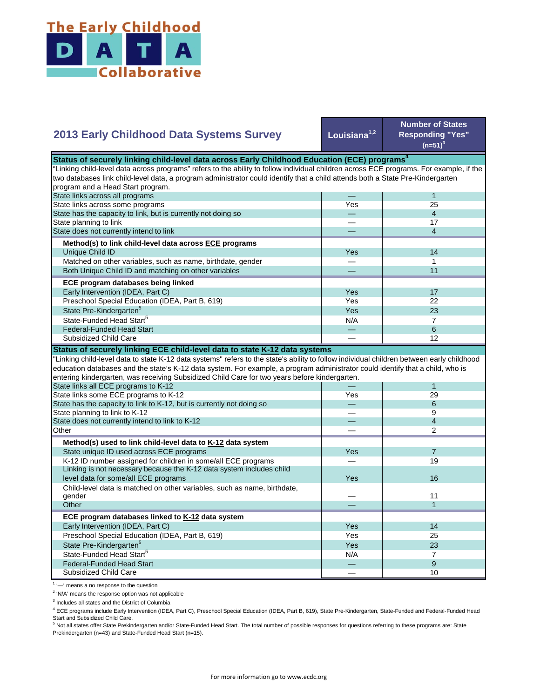

## **Louisiana1,2 Number of States Responding "Yes"**   $(n=51)^{3}$ — 1 Yes 25 — 4 — 17 — 4 Yes **I** 14 — 1 — 11 Yes I 17 Yes 22  $Yes$  23  $N/A$  7 State Pre-Kindergarten<sup>5</sup> State-Funded Head Start<sup>5</sup> Matched on other variables, such as name, birthdate, gender Both Unique Child ID and matching on other variables  **ECE program databases being linked**  Early Intervention (IDEA, Part C) Preschool Special Education (IDEA, Part B, 619) State has the capacity to link, but is currently not doing so State planning to link State does not currently intend to link  **Method(s) to link child-level data across ECE programs** Unique Child ID **2013 Early Childhood Data Systems Survey** Status of securely linking child-level data across Early Childhood Education (ECE) programs<sup>4</sup> "Linking child-level data across programs" refers to the ability to follow individual children across ECE programs. For example, if the two databases link child-level data, a program administrator could identify that a child attends both a State Pre-Kindergarten program and a Head Start program. State links across all programs State links across some programs — 6 — 12 — 1 Yes 29 — 6 — 9 — 4 — 2 Yes 7 — 19 Yes — 11 — 1 Yes I 14 Yes 25 Yes 23  $N/A$  7 — 9 — 10 Preschool Special Education (IDEA, Part B, 619) State Pre-Kindergarten<sup>5</sup> State-Funded Head Start<sup>5</sup> Federal-Funded Head Start Subsidized Child Care Child-level data is matched on other variables, such as name, birthdate, gender **Other ECE program databases linked to K-12 data system** Early Intervention (IDEA, Part C) **Other Method(s) used to link child-level data to K-12 data system** State unique ID used across ECE programs K-12 ID number assigned for children in some/all ECE programs Linking is not necessary because the K-12 data system includes child level data for some/all ECE programs 16 and 200 minutes and 200 minutes of the state of the state of the state of the state of the state of the state of the state of the state of the state of the state of the state of the "Linking child-level data to state K-12 data systems" refers to the state's ability to follow individual children between early childhood education databases and the state's K-12 data system. For example, a program administrator could identify that a child, who is entering kindergarten, was receiving Subsidized Child Care for two years before kindergarten. State links all ECE programs to K-12 State links some ECE programs to K-12 State has the capacity to link to K-12, but is currently not doing so State planning to link to K-12 State does not currently intend to link to K-12 Federal-Funded Head Start Subsidized Child Care **Status of securely linking ECE child-level data to state K-12 data systems**

<sup>1</sup> '-' means a no response to the question

<sup>2</sup> 'N/A' means the response option was not applicable

<sup>3</sup> Includes all states and the District of Columbia

<sup>4</sup> ECE programs include Early Intervention (IDEA, Part C), Preschool Special Education (IDEA, Part B, 619), State Pre-Kindergarten, State-Funded and Federal-Funded Head Start and Subsidized Child Care.

<sup>5</sup> Not all states offer State Prekindergarten and/or State-Funded Head Start. The total number of possible responses for questions referring to these programs are: State Prekindergarten (n=43) and State-Funded Head Start (n=15).